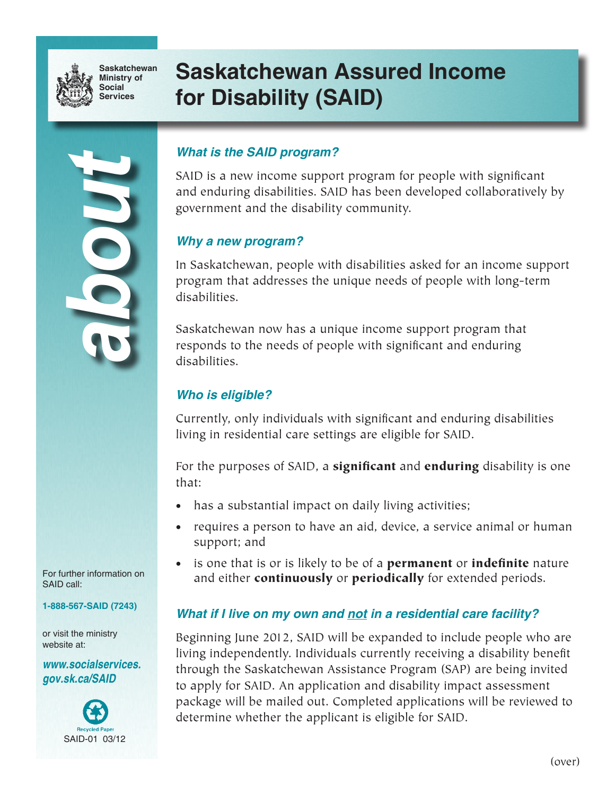

**Saskatchewan Ministry of Social Services**

# **Saskatchewan Assured Income for Disability (SAID)**

# *about*

## *What is the SAID program?*

SAID is a new income support program for people with significant and enduring disabilities. SAID has been developed collaboratively by government and the disability community.

### *Why a new program?*

In Saskatchewan, people with disabilities asked for an income support program that addresses the unique needs of people with long-term disabilities.

Saskatchewan now has a unique income support program that responds to the needs of people with significant and enduring disabilities.

### *Who is eligible?*

Currently, only individuals with significant and enduring disabilities living in residential care settings are eligible for SAID.

For the purposes of SAID, a **significant** and **enduring** disability is one that:

- has a substantial impact on daily living activities;
- requires a person to have an aid, device, a service animal or human support; and
- is one that is or is likely to be of a **permanent** or **indefinite** nature and either **continuously** or **periodically** for extended periods.

### *What if I live on my own and not in a residential care facility?*

Beginning June 2012, SAID will be expanded to include people who are living independently. Individuals currently receiving a disability benefit through the Saskatchewan Assistance Program (SAP) are being invited to apply for SAID. An application and disability impact assessment package will be mailed out. Completed applications will be reviewed to determine whether the applicant is eligible for SAID.

For further information on SAID call:

**1-888-567-SAID (7243)**

or visit the ministry website at:

*www.socialservices. gov.sk.ca/SAID*